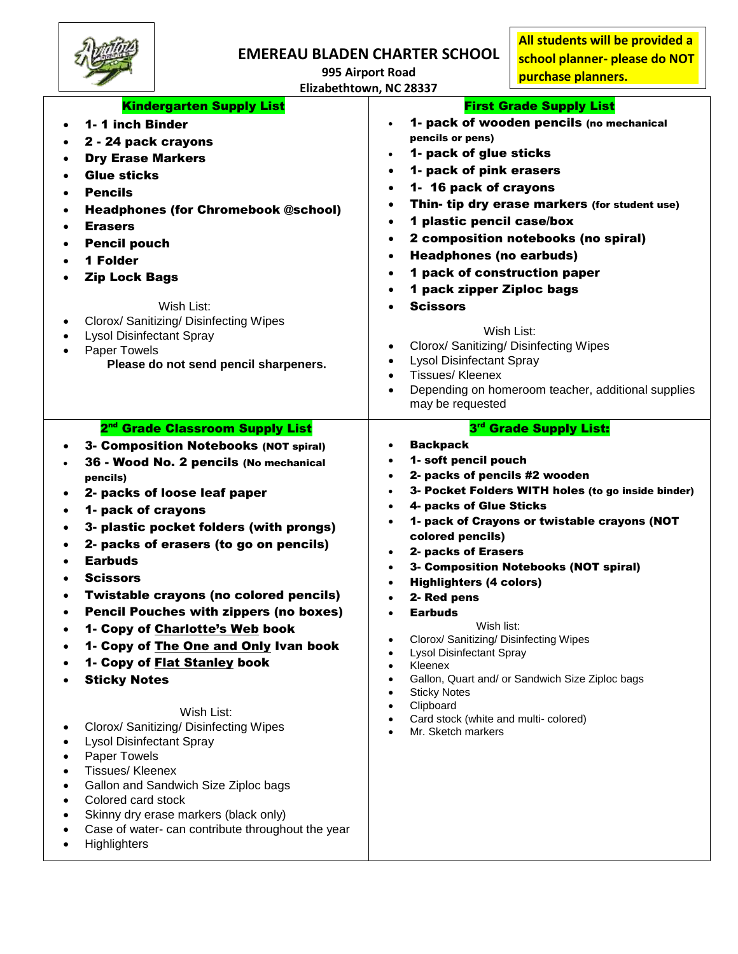

**995 Airport Road**

**All students will be provided a school planner- please do NOT purchase planners.** 

|   | <b>Kindergarten Supply List</b><br>1-1 inch Binder<br>2 - 24 pack crayons<br><b>Dry Erase Markers</b><br><b>Glue sticks</b><br><b>Pencils</b><br><b>Headphones (for Chromebook @school)</b><br><b>Erasers</b><br><b>Pencil pouch</b><br>1 Folder<br><b>Zip Lock Bags</b><br>Wish List:<br>Clorox/ Sanitizing/ Disinfecting Wipes<br><b>Lysol Disinfectant Spray</b><br>Paper Towels<br>Please do not send pencil sharpeners.                                                                                                                                                                                                                                                                                                                                                                                                                                              | Elizabethtown, NC 28337<br><b>First Grade Supply List</b><br>1- pack of wooden pencils (no mechanical<br>$\bullet$<br>pencils or pens)<br>1- pack of glue sticks<br>$\bullet$<br>1- pack of pink erasers<br>$\bullet$<br>1- 16 pack of crayons<br>$\bullet$<br>Thin- tip dry erase markers (for student use)<br>٠<br>1 plastic pencil case/box<br>$\bullet$<br>2 composition notebooks (no spiral)<br>$\bullet$<br><b>Headphones (no earbuds)</b><br>$\bullet$<br>1 pack of construction paper<br>$\bullet$<br>1 pack zipper Ziploc bags<br><b>Scissors</b><br>$\bullet$<br>Wish List:<br>Clorox/ Sanitizing/ Disinfecting Wipes<br>$\bullet$<br><b>Lysol Disinfectant Spray</b><br>$\bullet$<br><b>Tissues/Kleenex</b><br>$\bullet$<br>Depending on homeroom teacher, additional supplies<br>$\bullet$<br>may be requested    |
|---|---------------------------------------------------------------------------------------------------------------------------------------------------------------------------------------------------------------------------------------------------------------------------------------------------------------------------------------------------------------------------------------------------------------------------------------------------------------------------------------------------------------------------------------------------------------------------------------------------------------------------------------------------------------------------------------------------------------------------------------------------------------------------------------------------------------------------------------------------------------------------|--------------------------------------------------------------------------------------------------------------------------------------------------------------------------------------------------------------------------------------------------------------------------------------------------------------------------------------------------------------------------------------------------------------------------------------------------------------------------------------------------------------------------------------------------------------------------------------------------------------------------------------------------------------------------------------------------------------------------------------------------------------------------------------------------------------------------------|
| ٠ | 2 <sup>nd</sup> Grade Classroom Supply List<br>3- Composition Notebooks (NOT spiral)<br>36 - Wood No. 2 pencils (No mechanical<br>pencils)<br>2- packs of loose leaf paper<br>1- pack of crayons<br>3- plastic pocket folders (with prongs)<br>2- packs of erasers (to go on pencils)<br><b>Earbuds</b><br><b>Scissors</b><br>Twistable crayons (no colored pencils)<br><b>Pencil Pouches with zippers (no boxes)</b><br>1- Copy of Charlotte's Web book<br>1- Copy of The One and Only Ivan book<br>1- Copy of Flat Stanley book<br><b>Sticky Notes</b><br>Wish List:<br>Clorox/ Sanitizing/ Disinfecting Wipes<br><b>Lysol Disinfectant Spray</b><br>Paper Towels<br><b>Tissues/Kleenex</b><br>Gallon and Sandwich Size Ziploc bags<br>Colored card stock<br>Skinny dry erase markers (black only)<br>Case of water- can contribute throughout the year<br>Highlighters | 3rd Grade Supply List:<br><b>Backpack</b><br>1- soft pencil pouch<br>$\bullet$<br>2- packs of pencils #2 wooden<br>$\bullet$<br>3- Pocket Folders WITH holes (to go inside binder)<br>$\bullet$<br>4- packs of Glue Sticks<br>$\bullet$<br>1- pack of Crayons or twistable crayons (NOT<br>colored pencils)<br>2- packs of Erasers<br>$\bullet$<br>3- Composition Notebooks (NOT spiral)<br>$\bullet$<br><b>Highlighters (4 colors)</b><br>$\bullet$<br>2- Red pens<br><b>Earbuds</b><br>$\bullet$<br>Wish list:<br>Clorox/ Sanitizing/ Disinfecting Wipes<br>$\bullet$<br><b>Lysol Disinfectant Spray</b><br>$\bullet$<br>Kleenex<br>$\bullet$<br>Gallon, Quart and/ or Sandwich Size Ziploc bags<br>$\bullet$<br><b>Sticky Notes</b><br>Clipboard<br>Card stock (white and multi-colored)<br>Mr. Sketch markers<br>$\bullet$ |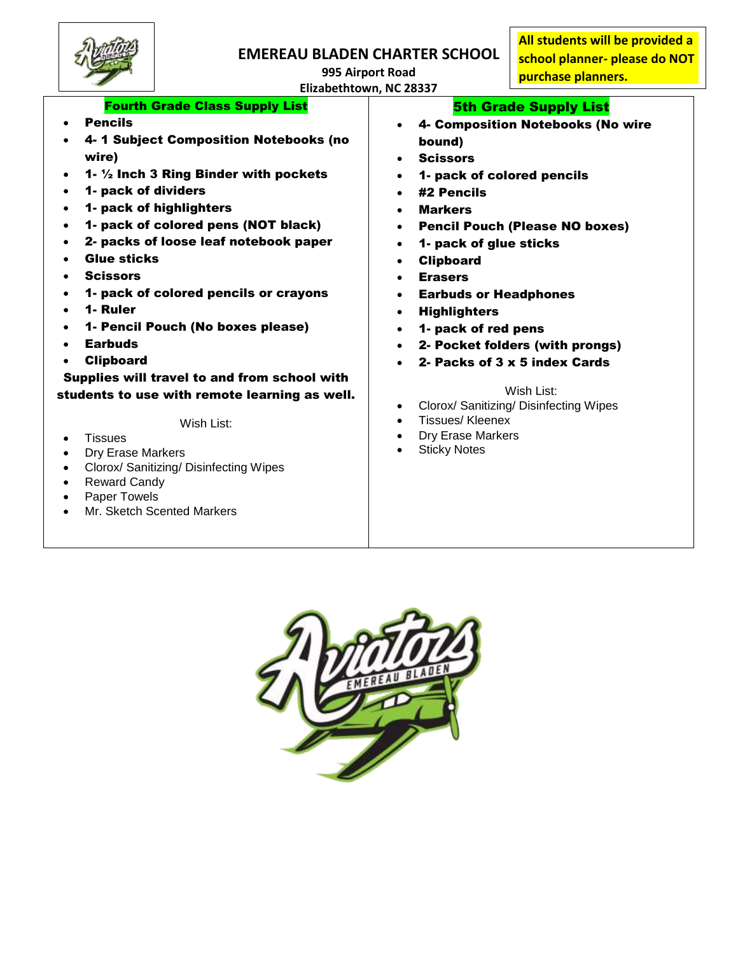

**995 Airport Road**

**All students will be provided a school planner- please do NOT purchase planners.** 

**Elizabethtown, NC 28337**

#### Fourth Grade Class Supply List 5th Grade Supply List

- Pencils
- 4- 1 Subject Composition Notebooks (no wire)
- 1- ½ Inch 3 Ring Binder with pockets
- 1- pack of dividers
- 1- pack of highlighters
- 1- pack of colored pens (NOT black)
- 2- packs of loose leaf notebook paper
- Glue sticks
- **Scissors**
- 1- pack of colored pencils or crayons
- 1- Ruler
- 1- Pencil Pouch (No boxes please)
- Earbuds
- Clipboard

Supplies will travel to and from school with students to use with remote learning as well.

Wish List:

- Tissues
- Dry Erase Markers
- Clorox/ Sanitizing/ Disinfecting Wipes
- Reward Candy
- Paper Towels
- Mr. Sketch Scented Markers
- 4- Composition Notebooks (No wire bound)
- **Scissors**
- 1- pack of colored pencils
- #2 Pencils
- Markers
- Pencil Pouch (Please NO boxes)
- 1- pack of glue sticks
- Clipboard
- Erasers
- Earbuds or Headphones
- **Highlighters**
- 1- pack of red pens
- 2- Pocket folders (with prongs)
- 2- Packs of 3 x 5 index Cards

### Wish List:

- Clorox/ Sanitizing/ Disinfecting Wipes
- Tissues/ Kleenex
- Dry Erase Markers
- Sticky Notes

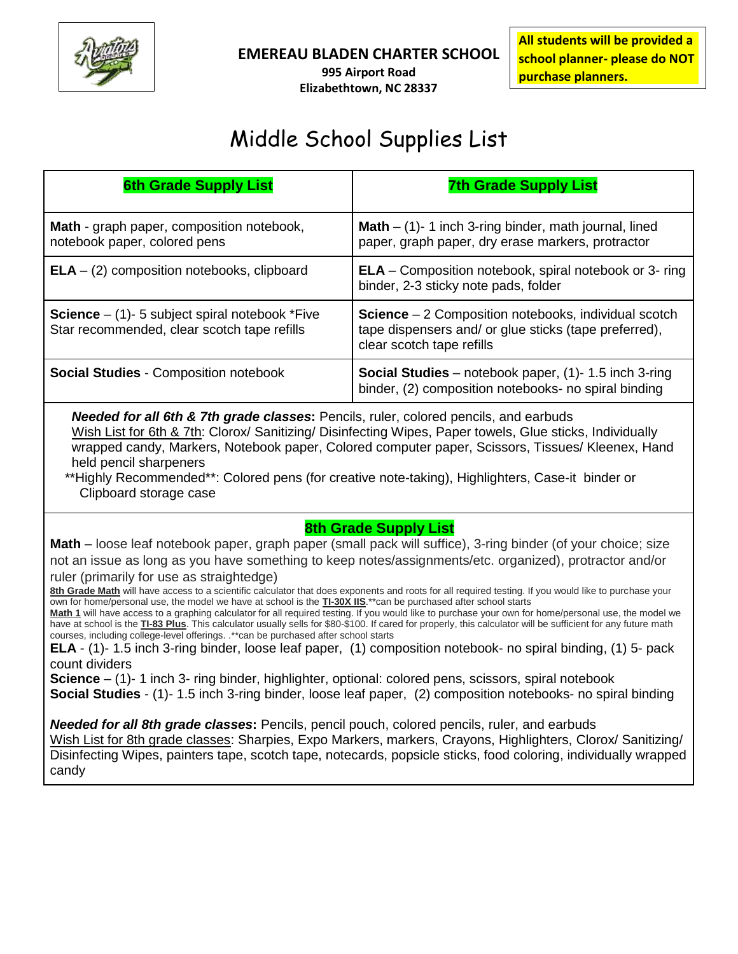

**995 Airport Road Elizabethtown, NC 28337** **All students will be provided a school planner- please do NOT purchase planners.** 

# Middle School Supplies List

| <b>6th Grade Supply List</b>                                                                                                                                                                                                                                                                                                                                                                                                                                                                                                                                                                                                                                                                                                                                                                                                                                                                                                                                                                                                                                                                                                                                                                                                                                                                                                                                                                                                                                                                                                                                                                                                                                                                                                     | <b>7th Grade Supply List</b>                                                                                                                       |  |
|----------------------------------------------------------------------------------------------------------------------------------------------------------------------------------------------------------------------------------------------------------------------------------------------------------------------------------------------------------------------------------------------------------------------------------------------------------------------------------------------------------------------------------------------------------------------------------------------------------------------------------------------------------------------------------------------------------------------------------------------------------------------------------------------------------------------------------------------------------------------------------------------------------------------------------------------------------------------------------------------------------------------------------------------------------------------------------------------------------------------------------------------------------------------------------------------------------------------------------------------------------------------------------------------------------------------------------------------------------------------------------------------------------------------------------------------------------------------------------------------------------------------------------------------------------------------------------------------------------------------------------------------------------------------------------------------------------------------------------|----------------------------------------------------------------------------------------------------------------------------------------------------|--|
| <b>Math</b> - graph paper, composition notebook,<br>notebook paper, colored pens                                                                                                                                                                                                                                                                                                                                                                                                                                                                                                                                                                                                                                                                                                                                                                                                                                                                                                                                                                                                                                                                                                                                                                                                                                                                                                                                                                                                                                                                                                                                                                                                                                                 | <b>Math</b> $-$ (1) $-$ 1 inch 3-ring binder, math journal, lined<br>paper, graph paper, dry erase markers, protractor                             |  |
| $ELA - (2)$ composition notebooks, clipboard                                                                                                                                                                                                                                                                                                                                                                                                                                                                                                                                                                                                                                                                                                                                                                                                                                                                                                                                                                                                                                                                                                                                                                                                                                                                                                                                                                                                                                                                                                                                                                                                                                                                                     | <b>ELA</b> – Composition notebook, spiral notebook or 3- ring<br>binder, 2-3 sticky note pads, folder                                              |  |
| <b>Science</b> $-$ (1)- 5 subject spiral notebook *Five<br>Star recommended, clear scotch tape refills                                                                                                                                                                                                                                                                                                                                                                                                                                                                                                                                                                                                                                                                                                                                                                                                                                                                                                                                                                                                                                                                                                                                                                                                                                                                                                                                                                                                                                                                                                                                                                                                                           | <b>Science</b> $-2$ Composition notebooks, individual scotch<br>tape dispensers and/ or glue sticks (tape preferred),<br>clear scotch tape refills |  |
| <b>Social Studies - Composition notebook</b>                                                                                                                                                                                                                                                                                                                                                                                                                                                                                                                                                                                                                                                                                                                                                                                                                                                                                                                                                                                                                                                                                                                                                                                                                                                                                                                                                                                                                                                                                                                                                                                                                                                                                     | <b>Social Studies</b> – notebook paper, $(1)$ - 1.5 inch 3-ring<br>binder, (2) composition notebooks- no spiral binding                            |  |
| Needed for all 6th & 7th grade classes: Pencils, ruler, colored pencils, and earbuds<br>Wish List for 6th & 7th: Clorox/ Sanitizing/ Disinfecting Wipes, Paper towels, Glue sticks, Individually<br>wrapped candy, Markers, Notebook paper, Colored computer paper, Scissors, Tissues/ Kleenex, Hand<br>held pencil sharpeners<br>**Highly Recommended**: Colored pens (for creative note-taking), Highlighters, Case-it binder or<br>Clipboard storage case                                                                                                                                                                                                                                                                                                                                                                                                                                                                                                                                                                                                                                                                                                                                                                                                                                                                                                                                                                                                                                                                                                                                                                                                                                                                     |                                                                                                                                                    |  |
| <b>8th Grade Supply List</b><br>Math - loose leaf notebook paper, graph paper (small pack will suffice), 3-ring binder (of your choice; size<br>not an issue as long as you have something to keep notes/assignments/etc. organized), protractor and/or<br>ruler (primarily for use as straightedge)<br>8th Grade Math will have access to a scientific calculator that does exponents and roots for all required testing. If you would like to purchase your<br>own for home/personal use, the model we have at school is the <b>TI-30X IIS</b> .**can be purchased after school starts<br>Math 1 will have access to a graphing calculator for all required testing. If you would like to purchase your own for home/personal use, the model we<br>have at school is the TI-83 Plus. This calculator usually sells for \$80-\$100. If cared for properly, this calculator will be sufficient for any future math<br>courses, including college-level offerings. .** can be purchased after school starts<br>ELA - (1)- 1.5 inch 3-ring binder, loose leaf paper, (1) composition notebook- no spiral binding, (1) 5- pack<br>count dividers<br><b>Science</b> $-$ (1)-1 inch 3- ring binder, highlighter, optional: colored pens, scissors, spiral notebook<br>Social Studies - (1)- 1.5 inch 3-ring binder, loose leaf paper, (2) composition notebooks- no spiral binding<br><b>Needed for all 8th grade classes:</b> Pencils, pencil pouch, colored pencils, ruler, and earbuds<br>Wish List for 8th grade classes: Sharpies, Expo Markers, markers, Crayons, Highlighters, Clorox/ Sanitizing/<br>Disinfecting Wipes, painters tape, scotch tape, notecards, popsicle sticks, food coloring, individually wrapped<br>candy |                                                                                                                                                    |  |